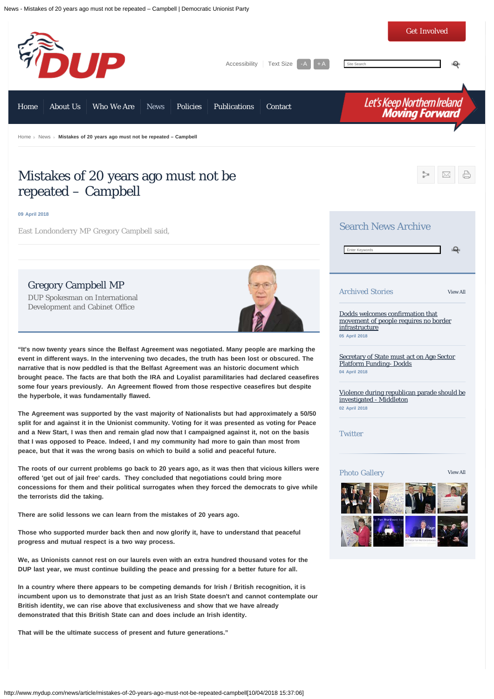News - Mistakes of 20 years ago must not be repeated – Campbell | Democratic Unionist Party